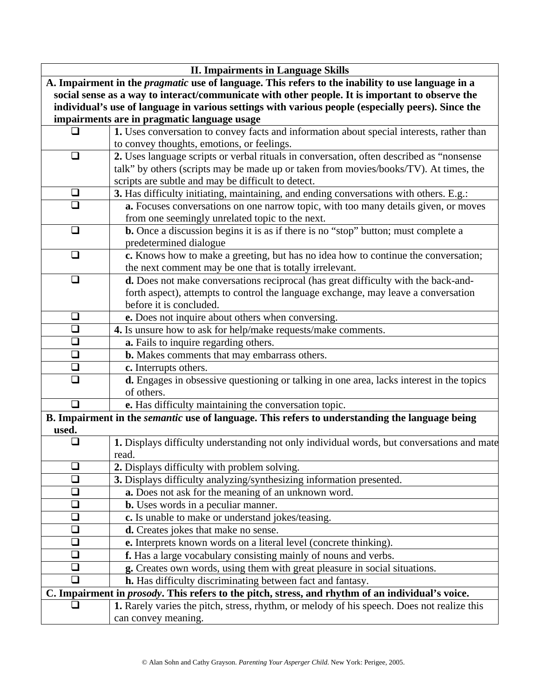| <b>II. Impairments in Language Skills</b>                                                                |                                                                                                        |  |
|----------------------------------------------------------------------------------------------------------|--------------------------------------------------------------------------------------------------------|--|
| A. Impairment in the <i>pragmatic</i> use of language. This refers to the inability to use language in a |                                                                                                        |  |
| social sense as a way to interact/communicate with other people. It is important to observe the          |                                                                                                        |  |
| individual's use of language in various settings with various people (especially peers). Since the       |                                                                                                        |  |
| impairments are in pragmatic language usage                                                              |                                                                                                        |  |
|                                                                                                          | 1. Uses conversation to convey facts and information about special interests, rather than              |  |
|                                                                                                          | to convey thoughts, emotions, or feelings.                                                             |  |
| □                                                                                                        | 2. Uses language scripts or verbal rituals in conversation, often described as "nonsense               |  |
|                                                                                                          | talk" by others (scripts may be made up or taken from movies/books/TV). At times, the                  |  |
|                                                                                                          | scripts are subtle and may be difficult to detect.                                                     |  |
| $\Box$                                                                                                   | 3. Has difficulty initiating, maintaining, and ending conversations with others. E.g.:                 |  |
| n                                                                                                        | a. Focuses conversations on one narrow topic, with too many details given, or moves                    |  |
|                                                                                                          | from one seemingly unrelated topic to the next.                                                        |  |
| $\Box$                                                                                                   | <b>b.</b> Once a discussion begins it is as if there is no "stop" button; must complete a              |  |
|                                                                                                          | predetermined dialogue                                                                                 |  |
| $\Box$                                                                                                   | c. Knows how to make a greeting, but has no idea how to continue the conversation;                     |  |
|                                                                                                          | the next comment may be one that is totally irrelevant.                                                |  |
| $\Box$                                                                                                   | d. Does not make conversations reciprocal (has great difficulty with the back-and-                     |  |
|                                                                                                          | forth aspect), attempts to control the language exchange, may leave a conversation                     |  |
|                                                                                                          | before it is concluded.                                                                                |  |
| $\Box$<br>$\overline{\square}$                                                                           | e. Does not inquire about others when conversing.                                                      |  |
| $\Box$                                                                                                   | 4. Is unsure how to ask for help/make requests/make comments.                                          |  |
|                                                                                                          | a. Fails to inquire regarding others.                                                                  |  |
| $\Box$<br>$\Box$                                                                                         | b. Makes comments that may embarrass others.                                                           |  |
| $\Box$                                                                                                   | c. Interrupts others.                                                                                  |  |
|                                                                                                          | d. Engages in obsessive questioning or talking in one area, lacks interest in the topics<br>of others. |  |
| $\Box$                                                                                                   | e. Has difficulty maintaining the conversation topic.                                                  |  |
|                                                                                                          | B. Impairment in the <i>semantic</i> use of language. This refers to understanding the language being  |  |
| used.                                                                                                    |                                                                                                        |  |
|                                                                                                          | 1. Displays difficulty understanding not only individual words, but conversations and mate             |  |
|                                                                                                          | read.                                                                                                  |  |
| ❏                                                                                                        | 2. Displays difficulty with problem solving.                                                           |  |
| ❏                                                                                                        | 3. Displays difficulty analyzing/synthesizing information presented.                                   |  |
| $\Box$                                                                                                   | a. Does not ask for the meaning of an unknown word.                                                    |  |
| ❏                                                                                                        | <b>b.</b> Uses words in a peculiar manner.                                                             |  |
| $\Box$                                                                                                   | c. Is unable to make or understand jokes/teasing.                                                      |  |
| ❏                                                                                                        | <b>d.</b> Creates jokes that make no sense.                                                            |  |
| ❏                                                                                                        | e. Interprets known words on a literal level (concrete thinking).                                      |  |
| $\Box$                                                                                                   | f. Has a large vocabulary consisting mainly of nouns and verbs.                                        |  |
| ❏                                                                                                        | g. Creates own words, using them with great pleasure in social situations.                             |  |
| $\Box$                                                                                                   | h. Has difficulty discriminating between fact and fantasy.                                             |  |
| C. Impairment in <i>prosody</i> . This refers to the pitch, stress, and rhythm of an individual's voice. |                                                                                                        |  |
|                                                                                                          | 1. Rarely varies the pitch, stress, rhythm, or melody of his speech. Does not realize this             |  |
|                                                                                                          | can convey meaning.                                                                                    |  |